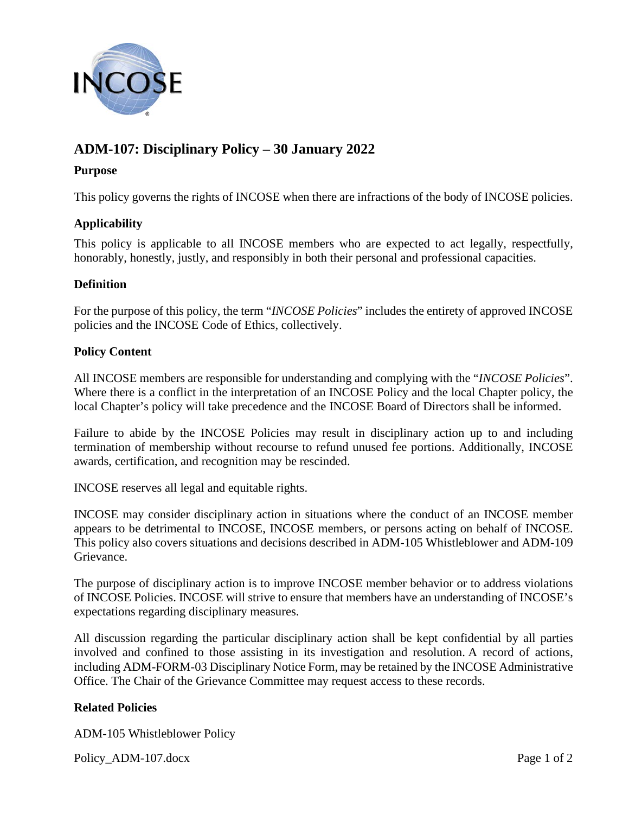

# **ADM-107: Disciplinary Policy – 30 January 2022**

# **Purpose**

This policy governs the rights of INCOSE when there are infractions of the body of INCOSE policies.

## **Applicability**

This policy is applicable to all INCOSE members who are expected to act legally, respectfully, honorably, honestly, justly, and responsibly in both their personal and professional capacities.

## **Definition**

For the purpose of this policy, the term "*INCOSE Policies*" includes the entirety of approved INCOSE policies and the INCOSE Code of Ethics, collectively.

#### **Policy Content**

All INCOSE members are responsible for understanding and complying with the "*INCOSE Policies*". Where there is a conflict in the interpretation of an INCOSE Policy and the local Chapter policy, the local Chapter's policy will take precedence and the INCOSE Board of Directors shall be informed.

Failure to abide by the INCOSE Policies may result in disciplinary action up to and including termination of membership without recourse to refund unused fee portions. Additionally, INCOSE awards, certification, and recognition may be rescinded.

INCOSE reserves all legal and equitable rights.

INCOSE may consider disciplinary action in situations where the conduct of an INCOSE member appears to be detrimental to INCOSE, INCOSE members, or persons acting on behalf of INCOSE. This policy also covers situations and decisions described in ADM-105 Whistleblower and ADM-109 Grievance.

The purpose of disciplinary action is to improve INCOSE member behavior or to address violations of INCOSE Policies. INCOSE will strive to ensure that members have an understanding of INCOSE's expectations regarding disciplinary measures.

All discussion regarding the particular disciplinary action shall be kept confidential by all parties involved and confined to those assisting in its investigation and resolution. A record of actions, including ADM-FORM-03 Disciplinary Notice Form, may be retained by the INCOSE Administrative Office. The Chair of the Grievance Committee may request access to these records.

## **Related Policies**

ADM-105 Whistleblower Policy

Policy\_ADM-107.docx Page 1 of 2